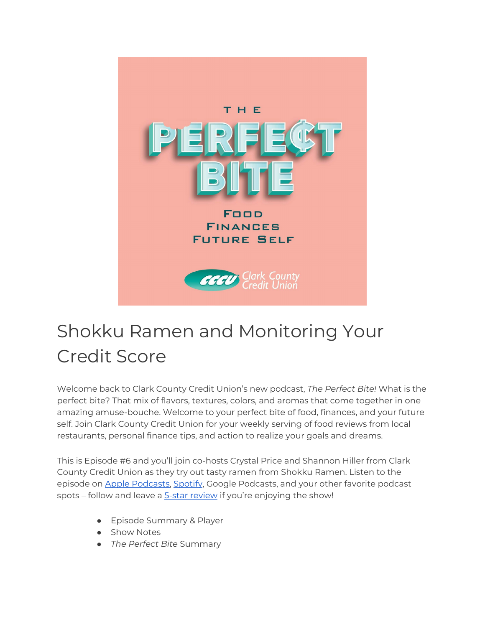

# Shokku Ramen and Monitoring Your Credit Score

Welcome back to Clark County Credit Union's new podcast, *The Perfect Bite!* What is the perfect bite? That mix of flavors, textures, colors, and aromas that come together in one amazing amuse-bouche. Welcome to your perfect bite of food, finances, and your future self. Join Clark County Credit Union for your weekly serving of food reviews from local restaurants, personal finance tips, and action to realize your goals and dreams.

This is Episode #6 and you'll join co-hosts Crystal Price and Shannon Hiller from Clark County Credit Union as they try out tasty ramen from Shokku Ramen. Listen to the episode on [Apple Podcasts,](https://podcasts.apple.com/us/podcast/the-perfect-bite/id1604656448) [Spotify,](https://open.spotify.com/show/7tNPJZBNHabGWEFmjnHaxR?si=a0a7808911264628) Google Podcasts, and your other favorite podcast spots – follow and leave a [5-star review](https://podcasts.apple.com/us/podcast/the-perfect-bite/id1604656448) if you're enjoying the show!

- Episode Summary & Player
- Show Notes
- *The Perfect Bite* Summary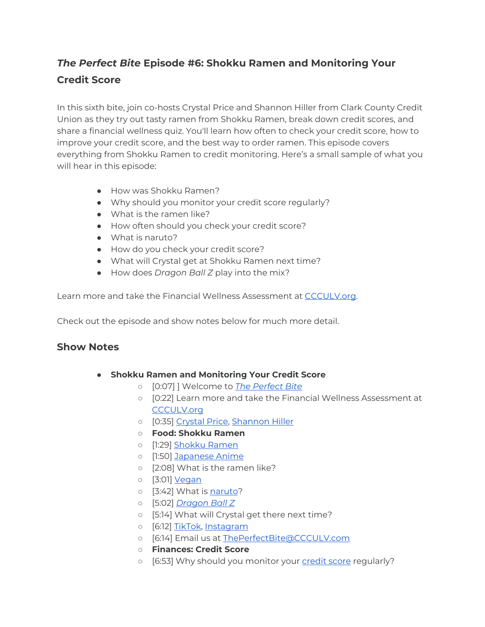## *The Perfect Bite* **Episode #6: Shokku Ramen and Monitoring Your Credit Score**

In this sixth bite, join co-hosts Crystal Price and Shannon Hiller from Clark County Credit Union as they try out tasty ramen from Shokku Ramen, break down credit scores, and share a financial wellness quiz. You'll learn how often to check your credit score, how to improve your credit score, and the best way to order ramen. This episode covers everything from Shokku Ramen to credit monitoring. Here's a small sample of what you will hear in this episode:

- How was Shokku Ramen?
- Why should you monitor your credit score regularly?
- What is the ramen like?
- How often should you check your credit score?
- What is naruto?
- How do you check your credit score?
- What will Crystal get at Shokku Ramen next time?
- How does *Dragon Ball Z* play into the mix?

Learn more and take the Financial Wellness Assessment at [CCCULV.org.](https://www.ccculv.org/)

Check out the episode and show notes below for much more detail.

#### **Show Notes**

- **Shokku Ramen and Monitoring Your Credit Score**
	- [0:07] ] Welcome to *[The Perfect Bite](https://www.ccculv.org/)*
	- [0:22] Learn more and take the Financial Wellness Assessment at [CCCULV.org](https://www.ccculv.org/)
	- [0:35] [Crystal Price, Shannon Hiller](https://www.ccculv.org/Our-Mission.aspx)
	- **Food: Shokku Ramen**
	- [1:29] [Shokku Ramen](https://shokkuramen.com/)
	- o [1:50] [Japanese Anime](https://jw-webmagazine.com/best-anime/)
	- [2:08] What is the ramen like?
	- [3:01] [Vegan](https://vegan.com/)
	- o [3:42] What is [naruto?](https://www.masterclass.com/articles/narutomaki-recipe#:%7E:text=Narutomaki%20is%20a%20type%20of,and%20Awaji%20Island%20in%20Japan.)
	- [5:02] *[Dragon Ball Z](http://www.dragonballz.com/)*
	- [5:14] What will Crystal get there next time?
	- o [6:12] [TikTok,](https://www.tiktok.com/discover/shokku-ramen) [Instagram](https://www.instagram.com/shokkuramen/)
	- [6:14] Email us a[t ThePerfectBite@CCCULV.com](mailto:ThePerfectBite@CCCULV.org)
	- **Finances: Credit Score**
	- o [6:53] Why should you monitor your [credit score](https://www.ccculv.org/CustomContent.aspx?name=How+to+Take+Control+of+Your+Credit) regularly?